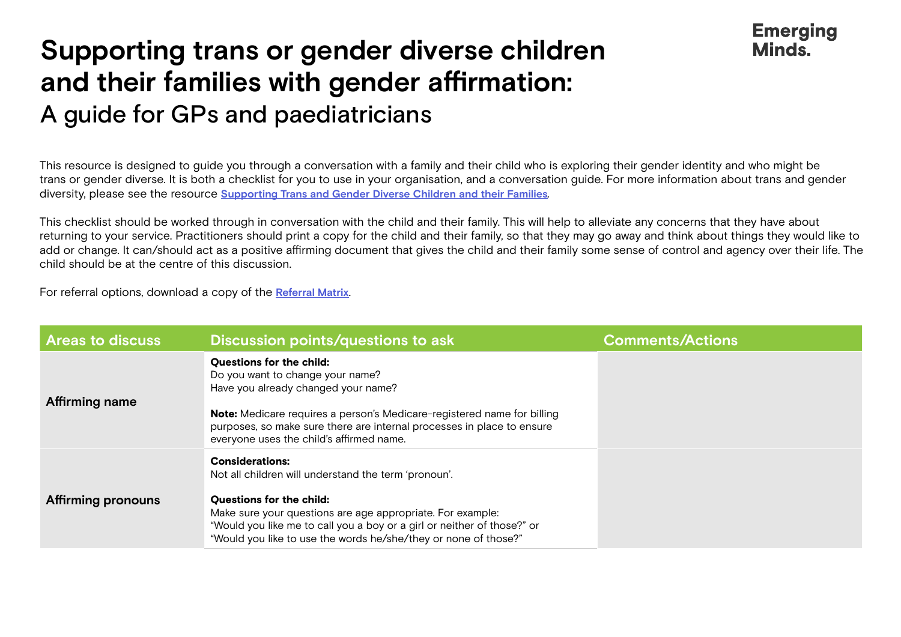## **Supporting trans or gender diverse children and their families with gender affirmation:**  A guide for GPs and paediatricians

This resource is designed to guide you through a conversation with a family and their child who is exploring their gender identity and who might be trans or gender diverse. It is both a checklist for you to use in your organisation, and a conversation guide. For more information about trans and gender diversity, please see the resource **[Supporting Trans and Gender Diverse Children and their Families](https://emergingminds.com.au/resources/supporting-trans-and-gender-diverse-children-and-their-families/)***.*

**Emerging Minds** 

This checklist should be worked through in conversation with the child and their family. This will help to alleviate any concerns that they have about returning to your service. Practitioners should print a copy for the child and their family, so that they may go away and think about things they would like to add or change. It can/should act as a positive affirming document that gives the child and their family some sense of control and agency over their life. The child should be at the centre of this discussion.

For referral options, download a copy of the **[Referral Matrix](https://emergingminds.com.au/resources/trans-and-gender-diverse-support-referral-matrix/)**.

| <b>Areas to discuss</b> | Discussion points/questions to ask                                                                                                                                                                                                                                                                                            | <b>Comments/Actions</b> |
|-------------------------|-------------------------------------------------------------------------------------------------------------------------------------------------------------------------------------------------------------------------------------------------------------------------------------------------------------------------------|-------------------------|
| Affirming name          | <b>Questions for the child:</b><br>Do you want to change your name?<br>Have you already changed your name?<br><b>Note:</b> Medicare requires a person's Medicare-registered name for billing<br>purposes, so make sure there are internal processes in place to ensure<br>everyone uses the child's affirmed name.            |                         |
| Affirming pronouns      | <b>Considerations:</b><br>Not all children will understand the term 'pronoun'.<br><b>Questions for the child:</b><br>Make sure your questions are age appropriate. For example:<br>"Would you like me to call you a boy or a girl or neither of those?" or<br>"Would you like to use the words he/she/they or none of those?" |                         |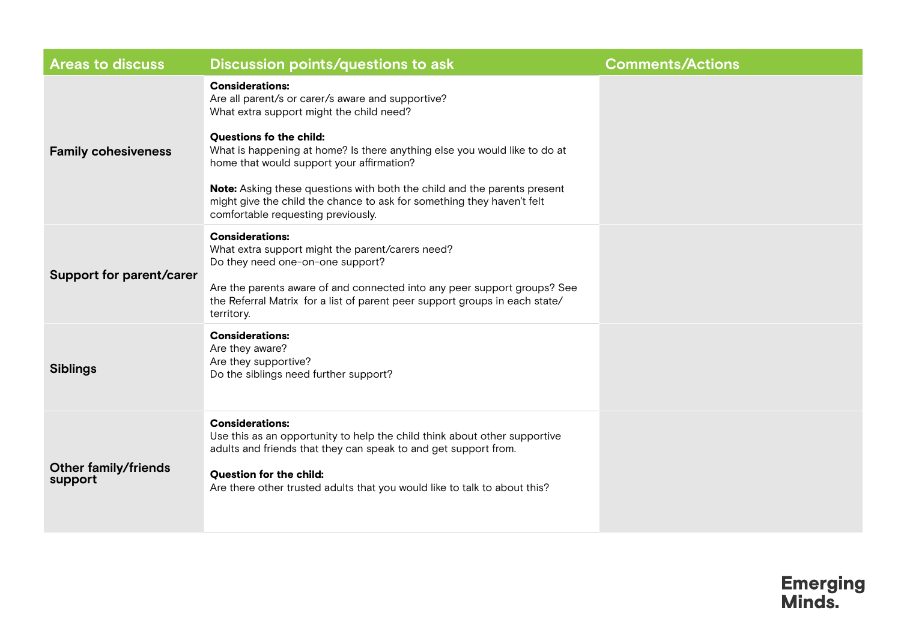| <b>Areas to discuss</b>                | Discussion points/questions to ask                                                                                                                                                                                                                                                                                                                                                                                                                                              | <b>Comments/Actions</b> |
|----------------------------------------|---------------------------------------------------------------------------------------------------------------------------------------------------------------------------------------------------------------------------------------------------------------------------------------------------------------------------------------------------------------------------------------------------------------------------------------------------------------------------------|-------------------------|
| <b>Family cohesiveness</b>             | <b>Considerations:</b><br>Are all parent/s or carer/s aware and supportive?<br>What extra support might the child need?<br><b>Questions fo the child:</b><br>What is happening at home? Is there anything else you would like to do at<br>home that would support your affirmation?<br>Note: Asking these questions with both the child and the parents present<br>might give the child the chance to ask for something they haven't felt<br>comfortable requesting previously. |                         |
| <b>Support for parent/carer</b>        | <b>Considerations:</b><br>What extra support might the parent/carers need?<br>Do they need one-on-one support?<br>Are the parents aware of and connected into any peer support groups? See<br>the Referral Matrix for a list of parent peer support groups in each state/<br>territory.                                                                                                                                                                                         |                         |
| <b>Siblings</b>                        | <b>Considerations:</b><br>Are they aware?<br>Are they supportive?<br>Do the siblings need further support?                                                                                                                                                                                                                                                                                                                                                                      |                         |
| <b>Other family/friends</b><br>support | <b>Considerations:</b><br>Use this as an opportunity to help the child think about other supportive<br>adults and friends that they can speak to and get support from.<br><b>Question for the child:</b><br>Are there other trusted adults that you would like to talk to about this?                                                                                                                                                                                           |                         |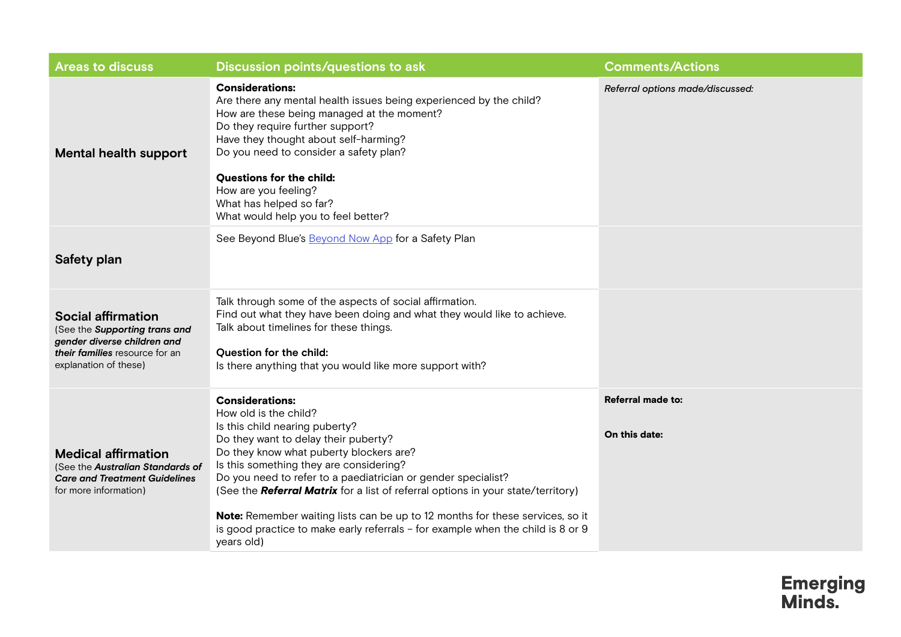| <b>Areas to discuss</b>                                                                                                                              | Discussion points/questions to ask                                                                                                                                                                                                                                                                                                                                                                                                                                                                                                                     | <b>Comments/Actions</b>            |
|------------------------------------------------------------------------------------------------------------------------------------------------------|--------------------------------------------------------------------------------------------------------------------------------------------------------------------------------------------------------------------------------------------------------------------------------------------------------------------------------------------------------------------------------------------------------------------------------------------------------------------------------------------------------------------------------------------------------|------------------------------------|
| <b>Mental health support</b>                                                                                                                         | <b>Considerations:</b><br>Are there any mental health issues being experienced by the child?<br>How are these being managed at the moment?<br>Do they require further support?<br>Have they thought about self-harming?<br>Do you need to consider a safety plan?<br><b>Questions for the child:</b><br>How are you feeling?<br>What has helped so far?<br>What would help you to feel better?                                                                                                                                                         | Referral options made/discussed:   |
| Safety plan                                                                                                                                          | See Beyond Blue's <b>Beyond Now App</b> for a Safety Plan                                                                                                                                                                                                                                                                                                                                                                                                                                                                                              |                                    |
| <b>Social affirmation</b><br>(See the Supporting trans and<br>gender diverse children and<br>their families resource for an<br>explanation of these) | Talk through some of the aspects of social affirmation.<br>Find out what they have been doing and what they would like to achieve.<br>Talk about timelines for these things.<br><b>Question for the child:</b><br>Is there anything that you would like more support with?                                                                                                                                                                                                                                                                             |                                    |
| <b>Medical affirmation</b><br>(See the Australian Standards of<br><b>Care and Treatment Guidelines</b><br>for more information)                      | <b>Considerations:</b><br>How old is the child?<br>Is this child nearing puberty?<br>Do they want to delay their puberty?<br>Do they know what puberty blockers are?<br>Is this something they are considering?<br>Do you need to refer to a paediatrician or gender specialist?<br>(See the Referral Matrix for a list of referral options in your state/territory)<br>Note: Remember waiting lists can be up to 12 months for these services, so it<br>is good practice to make early referrals - for example when the child is 8 or 9<br>years old) | Referral made to:<br>On this date: |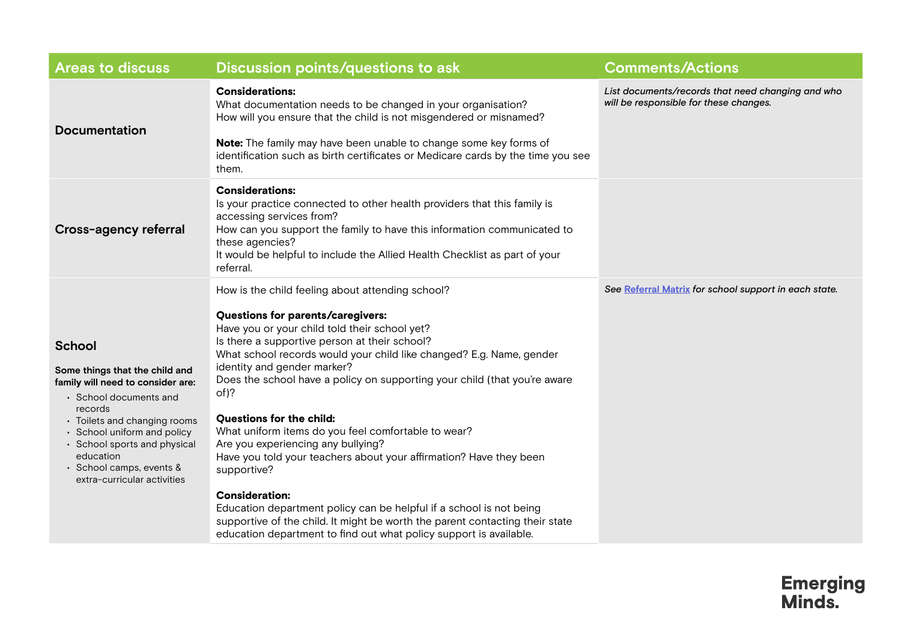| <b>Areas to discuss</b>                                                                                                                                                                                                                                                                          | Discussion points/questions to ask                                                                                                                                                                                                                                                                                                                                                                                                                                                                                                                                                                                                                                                                                                                                                                                                                      | <b>Comments/Actions</b>                                                                     |
|--------------------------------------------------------------------------------------------------------------------------------------------------------------------------------------------------------------------------------------------------------------------------------------------------|---------------------------------------------------------------------------------------------------------------------------------------------------------------------------------------------------------------------------------------------------------------------------------------------------------------------------------------------------------------------------------------------------------------------------------------------------------------------------------------------------------------------------------------------------------------------------------------------------------------------------------------------------------------------------------------------------------------------------------------------------------------------------------------------------------------------------------------------------------|---------------------------------------------------------------------------------------------|
| <b>Documentation</b>                                                                                                                                                                                                                                                                             | <b>Considerations:</b><br>What documentation needs to be changed in your organisation?<br>How will you ensure that the child is not misgendered or misnamed?<br>Note: The family may have been unable to change some key forms of<br>identification such as birth certificates or Medicare cards by the time you see<br>them.                                                                                                                                                                                                                                                                                                                                                                                                                                                                                                                           | List documents/records that need changing and who<br>will be responsible for these changes. |
| Cross-agency referral                                                                                                                                                                                                                                                                            | <b>Considerations:</b><br>Is your practice connected to other health providers that this family is<br>accessing services from?<br>How can you support the family to have this information communicated to<br>these agencies?<br>It would be helpful to include the Allied Health Checklist as part of your<br>referral.                                                                                                                                                                                                                                                                                                                                                                                                                                                                                                                                 |                                                                                             |
| <b>School</b><br>Some things that the child and<br>family will need to consider are:<br>• School documents and<br>records<br>• Toilets and changing rooms<br>• School uniform and policy<br>• School sports and physical<br>education<br>· School camps, events &<br>extra-curricular activities | How is the child feeling about attending school?<br>Questions for parents/caregivers:<br>Have you or your child told their school yet?<br>Is there a supportive person at their school?<br>What school records would your child like changed? E.g. Name, gender<br>identity and gender marker?<br>Does the school have a policy on supporting your child (that you're aware<br>of)?<br>Questions for the child:<br>What uniform items do you feel comfortable to wear?<br>Are you experiencing any bullying?<br>Have you told your teachers about your affirmation? Have they been<br>supportive?<br><b>Consideration:</b><br>Education department policy can be helpful if a school is not being<br>supportive of the child. It might be worth the parent contacting their state<br>education department to find out what policy support is available. | See Referral Matrix for school support in each state.                                       |